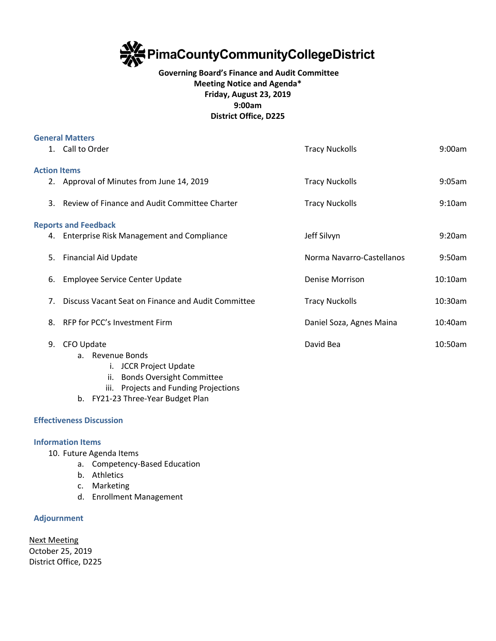

## **Governing Board's Finance and Audit Committee Meeting Notice and Agenda\* Friday, August 23, 2019 9:00am District Office, D225**

| <b>General Matters</b>      |                                                    |                           |         |
|-----------------------------|----------------------------------------------------|---------------------------|---------|
|                             | 1. Call to Order                                   | <b>Tracy Nuckolls</b>     | 9:00am  |
|                             |                                                    |                           |         |
| <b>Action Items</b>         |                                                    |                           |         |
|                             | 2. Approval of Minutes from June 14, 2019          | <b>Tracy Nuckolls</b>     | 9:05am  |
| 3.                          | Review of Finance and Audit Committee Charter      | <b>Tracy Nuckolls</b>     | 9:10am  |
|                             |                                                    |                           |         |
| <b>Reports and Feedback</b> |                                                    |                           |         |
|                             | 4. Enterprise Risk Management and Compliance       | Jeff Silvyn               | 9:20am  |
|                             |                                                    |                           |         |
| 5.                          | <b>Financial Aid Update</b>                        | Norma Navarro-Castellanos | 9:50am  |
|                             |                                                    |                           |         |
| 6.                          | <b>Employee Service Center Update</b>              | Denise Morrison           | 10:10am |
| 7.                          | Discuss Vacant Seat on Finance and Audit Committee | <b>Tracy Nuckolls</b>     | 10:30am |
|                             |                                                    |                           |         |
| 8.                          | RFP for PCC's Investment Firm                      | Daniel Soza, Agnes Maina  | 10:40am |
|                             |                                                    |                           |         |
| 9.                          | CFO Update                                         | David Bea                 | 10:50am |
|                             | a. Revenue Bonds                                   |                           |         |
|                             | i. JCCR Project Update                             |                           |         |
|                             | ii. Bonds Oversight Committee                      |                           |         |
|                             |                                                    |                           |         |

- iii. Projects and Funding Projections
- b. FY21-23 Three-Year Budget Plan

## **Effectiveness Discussion**

## **Information Items**

- 10. Future Agenda Items
	- a. Competency-Based Education
	- b. Athletics
	- c. Marketing
	- d. Enrollment Management

## **Adjournment**

Next Meeting October 25, 2019 District Office, D225